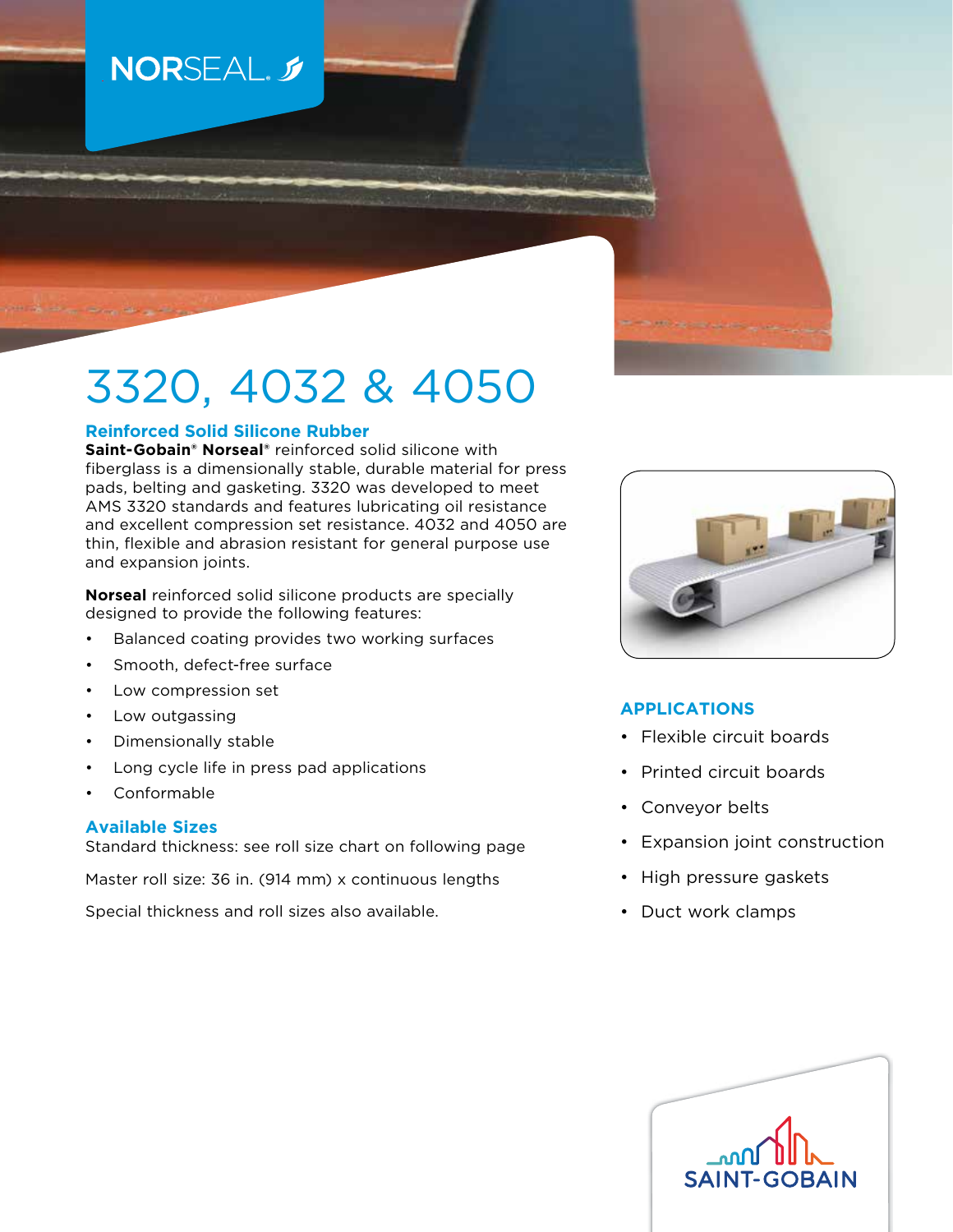## NORSEAL. 5

# 3320, 4032 & 4050

#### **Reinforced Solid Silicone Rubber**

**Saint-Gobain® Norseal®** reinforced solid silicone with fiberglass is a dimensionally stable, durable material for press pads, belting and gasketing. 3320 was developed to meet AMS 3320 standards and features lubricating oil resistance and excellent compression set resistance. 4032 and 4050 are thin, flexible and abrasion resistant for general purpose use and expansion joints.

**Norseal** reinforced solid silicone products are specially designed to provide the following features:

- Balanced coating provides two working surfaces
- Smooth, defect-free surface
- Low compression set
- Low outgassing
- Dimensionally stable
- Long cycle life in press pad applications
- Conformable

#### **Available Sizes**

Standard thickness: see roll size chart on following page

Master roll size: 36 in. (914 mm) x continuous lengths

Special thickness and roll sizes also available.



#### **APPLICATIONS**

- Flexible circuit boards
- Printed circuit boards
- Conveyor belts
- Expansion joint construction
- High pressure gaskets
- Duct work clamps